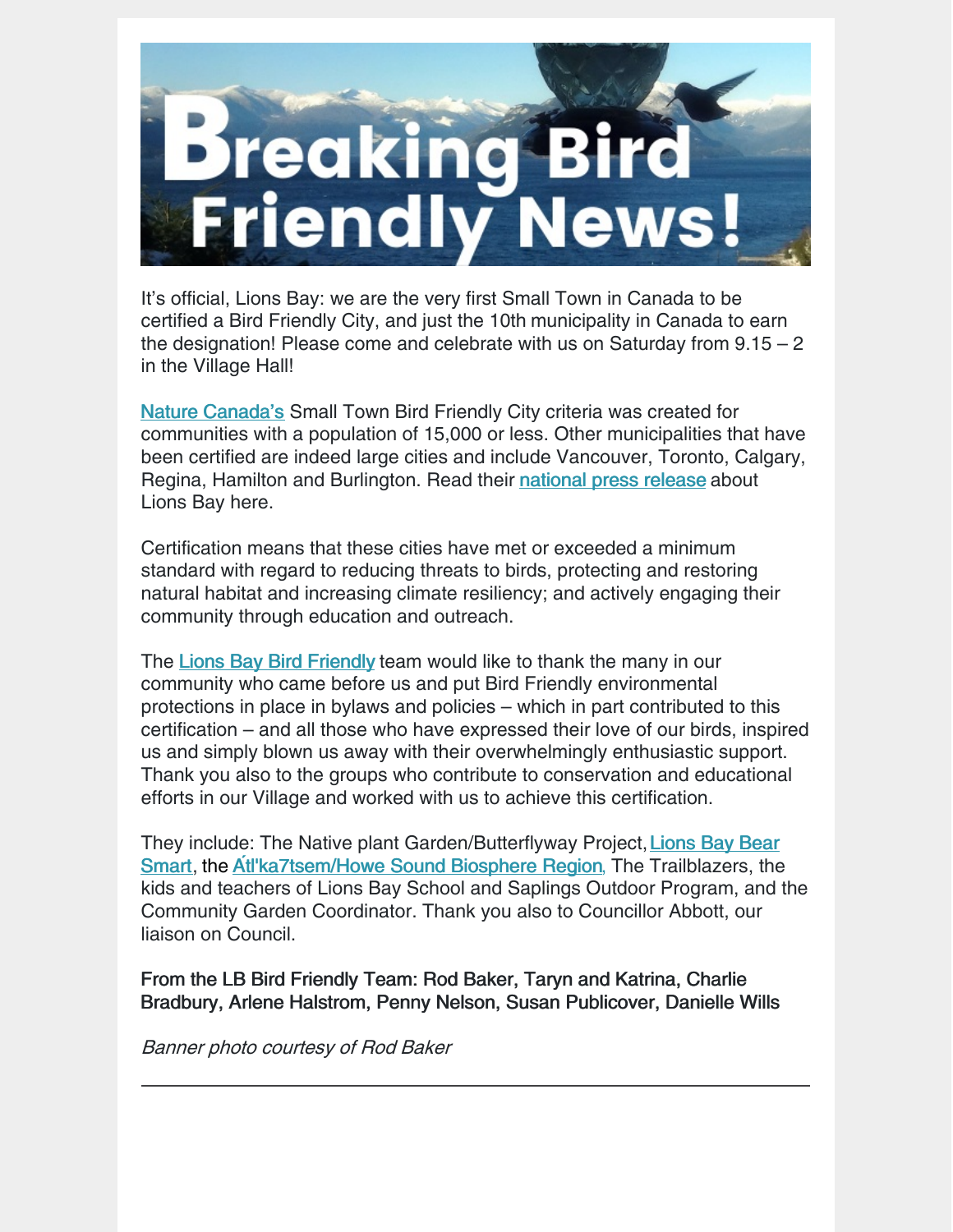

It's official, Lions Bay: we are the very first Small Town in Canada to be certified a Bird Friendly City, and just the 10th municipality in Canada to earn the designation! Please come and celebrate with us on Saturday from  $9.15 - 2$ in the Village Hall!

Nature [Canada's](http://www.naturecanada.ca/) Small Town Bird Friendly City criteria was created for communities with a population of 15,000 or less. Other municipalities that have been certified are indeed large cities and include Vancouver, Toronto, Calgary, Regina, Hamilton and Burlington. Read their [national](https://naturecanada.ca/news/press-releases/lions-bay-bc-earns-nature-canadas-bird-friendly-city-designation/) press release about Lions Bay here.

Certification means that these cities have met or exceeded a minimum standard with regard to reducing threats to birds, protecting and restoring natural habitat and increasing climate resiliency; and actively engaging their community through education and outreach.

The Lions Bay Bird [Friendly](http://www.lionsbaybirdfriendly.ca/) team would like to thank the many in our community who came before us and put Bird Friendly environmental protections in place in bylaws and policies – which in part contributed to this certification – and all those who have expressed their love of our birds, inspired us and simply blown us away with their overwhelmingly enthusiastic support. Thank you also to the groups who contribute to conservation and educational efforts in our Village and worked with us to achieve this certification.

They include: The Native plant [Garden/Butterflyway](http://www.lionsbaybearsmart.ca/) Project,Lions Bay Bear Smart, the At**́**[l'ka7tsem/Howe](https://www.howesoundbri.org/) Sound Biosphere Region, The Trailblazers, the kids and teachers of Lions Bay School and Saplings Outdoor Program, and the Community Garden Coordinator. Thank you also to Councillor Abbott, our liaison on Council.

From the LB Bird Friendly Team: Rod Baker, Taryn and Katrina, Charlie Bradbury, Arlene Halstrom, Penny Nelson, Susan Publicover, Danielle Wills

Banner photo courtesy of Rod Baker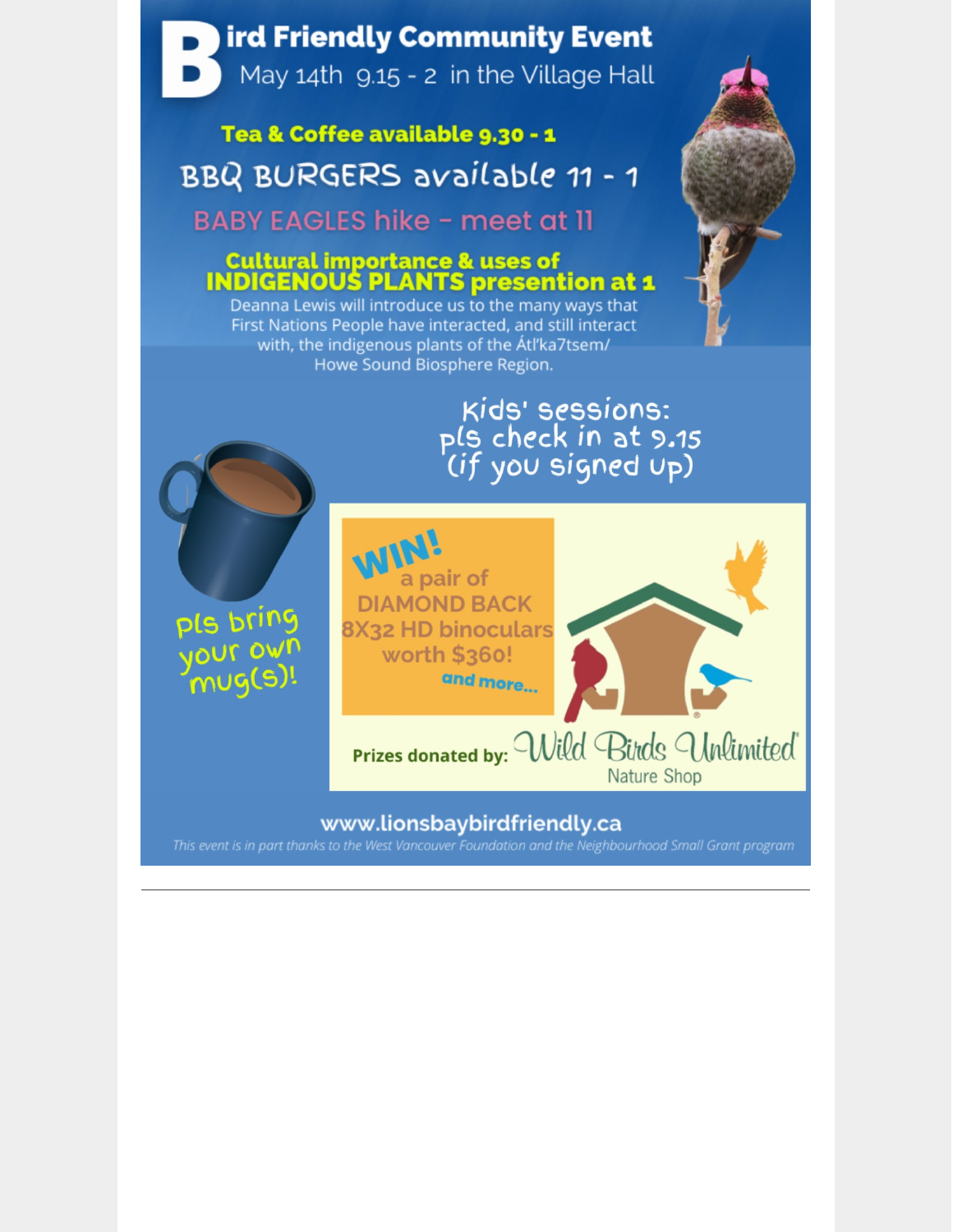### ird Friendly Community Event

May 14th 9.15 - 2 in the Village Hall

### Tea & Coffee available 9.30 - 1 BBQ BURGERS available 11 - 1

**BABY EAGLES hike - meet at 11** 

# **Cultural importance & uses of<br>INDIGENOUS PLANTS presention at 1**

Deanna Lewis will introduce us to the many ways that First Nations People have interacted, and still interact with, the indigenous plants of the Atl'ka7tsem/ Howe Sound Biosphere Region.

## Kids' sessions: pls check in at 9.15<br>(if you signed up)

pls bring your own  $mug(s)$ 



#### Prizes donated by: Willd Birds Unlimited Nature Shop

#### www.lionsbaybirdfriendly.ca